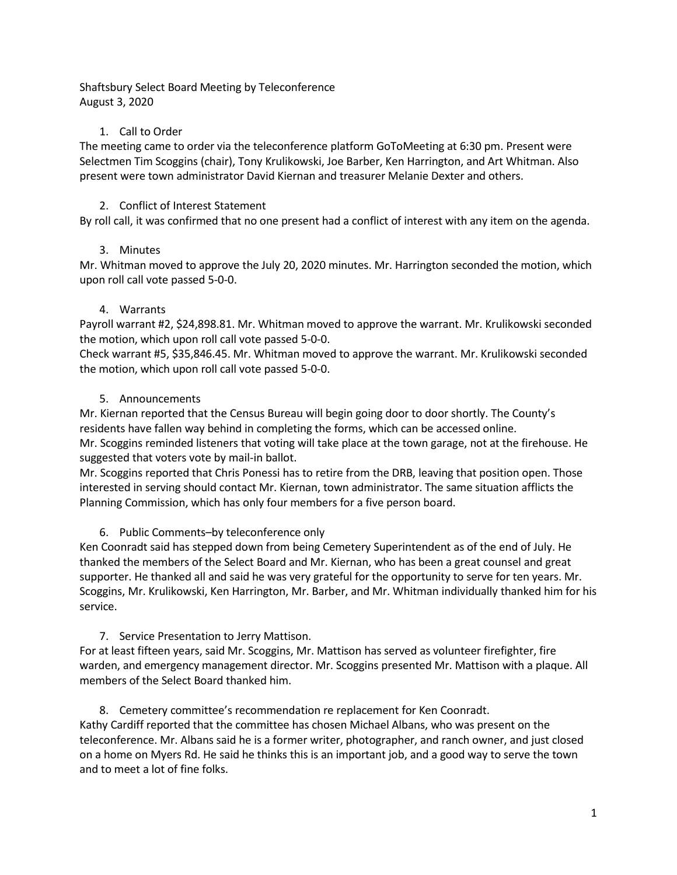Shaftsbury Select Board Meeting by Teleconference August 3, 2020

## 1. Call to Order

The meeting came to order via the teleconference platform GoToMeeting at 6:30 pm. Present were Selectmen Tim Scoggins (chair), Tony Krulikowski, Joe Barber, Ken Harrington, and Art Whitman. Also present were town administrator David Kiernan and treasurer Melanie Dexter and others.

# 2. Conflict of Interest Statement

By roll call, it was confirmed that no one present had a conflict of interest with any item on the agenda.

# 3. Minutes

Mr. Whitman moved to approve the July 20, 2020 minutes. Mr. Harrington seconded the motion, which upon roll call vote passed 5-0-0.

# 4. Warrants

Payroll warrant #2, \$24,898.81. Mr. Whitman moved to approve the warrant. Mr. Krulikowski seconded the motion, which upon roll call vote passed 5-0-0.

Check warrant #5, \$35,846.45. Mr. Whitman moved to approve the warrant. Mr. Krulikowski seconded the motion, which upon roll call vote passed 5-0-0.

## 5. Announcements

Mr. Kiernan reported that the Census Bureau will begin going door to door shortly. The County's residents have fallen way behind in completing the forms, which can be accessed online. Mr. Scoggins reminded listeners that voting will take place at the town garage, not at the firehouse. He suggested that voters vote by mail-in ballot.

Mr. Scoggins reported that Chris Ponessi has to retire from the DRB, leaving that position open. Those interested in serving should contact Mr. Kiernan, town administrator. The same situation afflicts the Planning Commission, which has only four members for a five person board.

# 6. Public Comments–by teleconference only

Ken Coonradt said has stepped down from being Cemetery Superintendent as of the end of July. He thanked the members of the Select Board and Mr. Kiernan, who has been a great counsel and great supporter. He thanked all and said he was very grateful for the opportunity to serve for ten years. Mr. Scoggins, Mr. Krulikowski, Ken Harrington, Mr. Barber, and Mr. Whitman individually thanked him for his service.

# 7. Service Presentation to Jerry Mattison.

For at least fifteen years, said Mr. Scoggins, Mr. Mattison has served as volunteer firefighter, fire warden, and emergency management director. Mr. Scoggins presented Mr. Mattison with a plaque. All members of the Select Board thanked him.

### 8. Cemetery committee's recommendation re replacement for Ken Coonradt.

Kathy Cardiff reported that the committee has chosen Michael Albans, who was present on the teleconference. Mr. Albans said he is a former writer, photographer, and ranch owner, and just closed on a home on Myers Rd. He said he thinks this is an important job, and a good way to serve the town and to meet a lot of fine folks.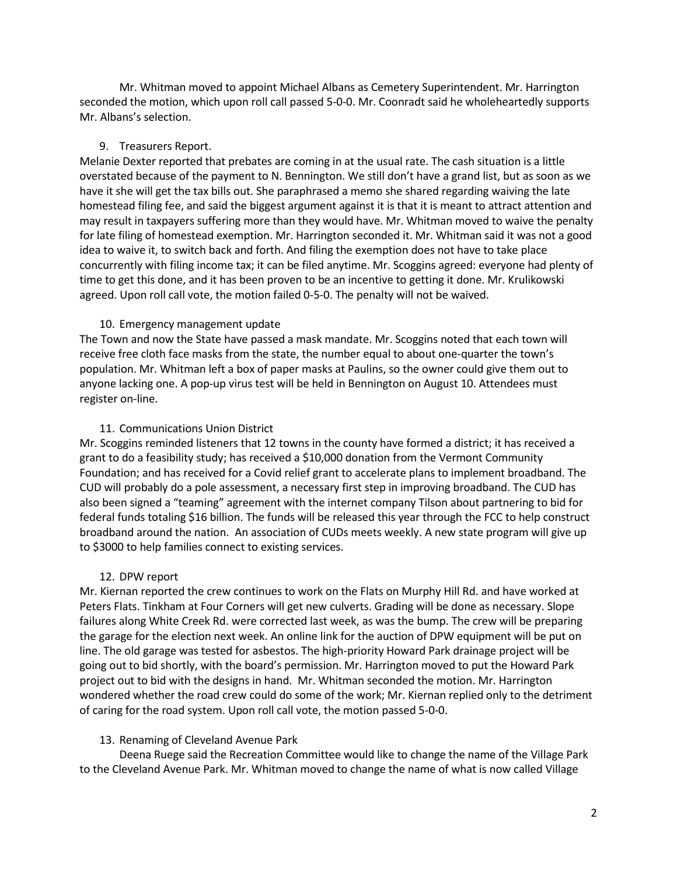Mr. Whitman moved to appoint Michael Albans as Cemetery Superintendent. Mr. Harrington seconded the motion, which upon roll call passed 5-0-0. Mr. Coonradt said he wholeheartedly supports Mr. Albans's selection.

#### 9. Treasurers Report.

Melanie Dexter reported that prebates are coming in at the usual rate. The cash situation is a little overstated because of the payment to N. Bennington. We still don't have a grand list, but as soon as we have it she will get the tax bills out. She paraphrased a memo she shared regarding waiving the late homestead filing fee, and said the biggest argument against it is that it is meant to attract attention and may result in taxpayers suffering more than they would have. Mr. Whitman moved to waive the penalty for late filing of homestead exemption. Mr. Harrington seconded it. Mr. Whitman said it was not a good idea to waive it, to switch back and forth. And filing the exemption does not have to take place concurrently with filing income tax; it can be filed anytime. Mr. Scoggins agreed: everyone had plenty of time to get this done, and it has been proven to be an incentive to getting it done. Mr. Krulikowski agreed. Upon roll call vote, the motion failed 0-5-0. The penalty will not be waived.

#### 10. Emergency management update

The Town and now the State have passed a mask mandate. Mr. Scoggins noted that each town will receive free cloth face masks from the state, the number equal to about one-quarter the town's population. Mr. Whitman left a box of paper masks at Paulins, so the owner could give them out to anyone lacking one. A pop-up virus test will be held in Bennington on August 10. Attendees must register on-line.

#### 11. Communications Union District

Mr. Scoggins reminded listeners that 12 towns in the county have formed a district; it has received a grant to do a feasibility study; has received a \$10,000 donation from the Vermont Community Foundation; and has received for a Covid relief grant to accelerate plans to implement broadband. The CUD will probably do a pole assessment, a necessary first step in improving broadband. The CUD has also been signed a "teaming" agreement with the internet company Tilson about partnering to bid for federal funds totaling \$16 billion. The funds will be released this year through the FCC to help construct broadband around the nation. An association of CUDs meets weekly. A new state program will give up to \$3000 to help families connect to existing services.

### 12. DPW report

Mr. Kiernan reported the crew continues to work on the Flats on Murphy Hill Rd. and have worked at Peters Flats. Tinkham at Four Corners will get new culverts. Grading will be done as necessary. Slope failures along White Creek Rd. were corrected last week, as was the bump. The crew will be preparing the garage for the election next week. An online link for the auction of DPW equipment will be put on line. The old garage was tested for asbestos. The high-priority Howard Park drainage project will be going out to bid shortly, with the board's permission. Mr. Harrington moved to put the Howard Park project out to bid with the designs in hand. Mr. Whitman seconded the motion. Mr. Harrington wondered whether the road crew could do some of the work; Mr. Kiernan replied only to the detriment of caring for the road system. Upon roll call vote, the motion passed 5-0-0.

#### 13. Renaming of Cleveland Avenue Park

Deena Ruege said the Recreation Committee would like to change the name of the Village Park to the Cleveland Avenue Park. Mr. Whitman moved to change the name of what is now called Village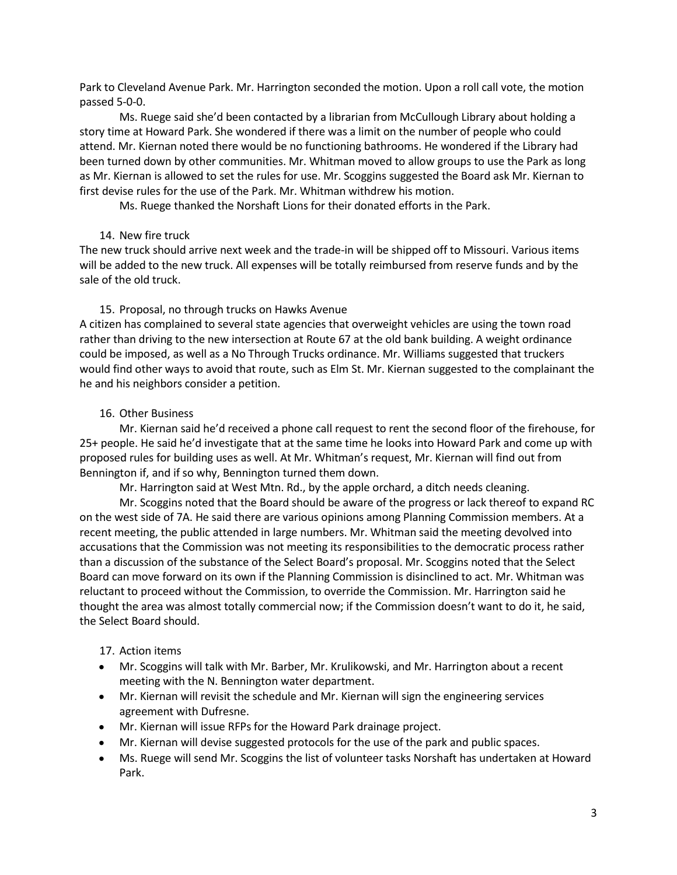Park to Cleveland Avenue Park. Mr. Harrington seconded the motion. Upon a roll call vote, the motion passed 5-0-0.

Ms. Ruege said she'd been contacted by a librarian from McCullough Library about holding a story time at Howard Park. She wondered if there was a limit on the number of people who could attend. Mr. Kiernan noted there would be no functioning bathrooms. He wondered if the Library had been turned down by other communities. Mr. Whitman moved to allow groups to use the Park as long as Mr. Kiernan is allowed to set the rules for use. Mr. Scoggins suggested the Board ask Mr. Kiernan to first devise rules for the use of the Park. Mr. Whitman withdrew his motion.

Ms. Ruege thanked the Norshaft Lions for their donated efforts in the Park.

### 14. New fire truck

The new truck should arrive next week and the trade-in will be shipped off to Missouri. Various items will be added to the new truck. All expenses will be totally reimbursed from reserve funds and by the sale of the old truck.

## 15. Proposal, no through trucks on Hawks Avenue

A citizen has complained to several state agencies that overweight vehicles are using the town road rather than driving to the new intersection at Route 67 at the old bank building. A weight ordinance could be imposed, as well as a No Through Trucks ordinance. Mr. Williams suggested that truckers would find other ways to avoid that route, such as Elm St. Mr. Kiernan suggested to the complainant the he and his neighbors consider a petition.

## 16. Other Business

Mr. Kiernan said he'd received a phone call request to rent the second floor of the firehouse, for 25+ people. He said he'd investigate that at the same time he looks into Howard Park and come up with proposed rules for building uses as well. At Mr. Whitman's request, Mr. Kiernan will find out from Bennington if, and if so why, Bennington turned them down.

Mr. Harrington said at West Mtn. Rd., by the apple orchard, a ditch needs cleaning.

Mr. Scoggins noted that the Board should be aware of the progress or lack thereof to expand RC on the west side of 7A. He said there are various opinions among Planning Commission members. At a recent meeting, the public attended in large numbers. Mr. Whitman said the meeting devolved into accusations that the Commission was not meeting its responsibilities to the democratic process rather than a discussion of the substance of the Select Board's proposal. Mr. Scoggins noted that the Select Board can move forward on its own if the Planning Commission is disinclined to act. Mr. Whitman was reluctant to proceed without the Commission, to override the Commission. Mr. Harrington said he thought the area was almost totally commercial now; if the Commission doesn't want to do it, he said, the Select Board should.

### 17. Action items

- Mr. Scoggins will talk with Mr. Barber, Mr. Krulikowski, and Mr. Harrington about a recent meeting with the N. Bennington water department.
- Mr. Kiernan will revisit the schedule and Mr. Kiernan will sign the engineering services agreement with Dufresne.
- Mr. Kiernan will issue RFPs for the Howard Park drainage project.
- Mr. Kiernan will devise suggested protocols for the use of the park and public spaces.
- Ms. Ruege will send Mr. Scoggins the list of volunteer tasks Norshaft has undertaken at Howard Park.